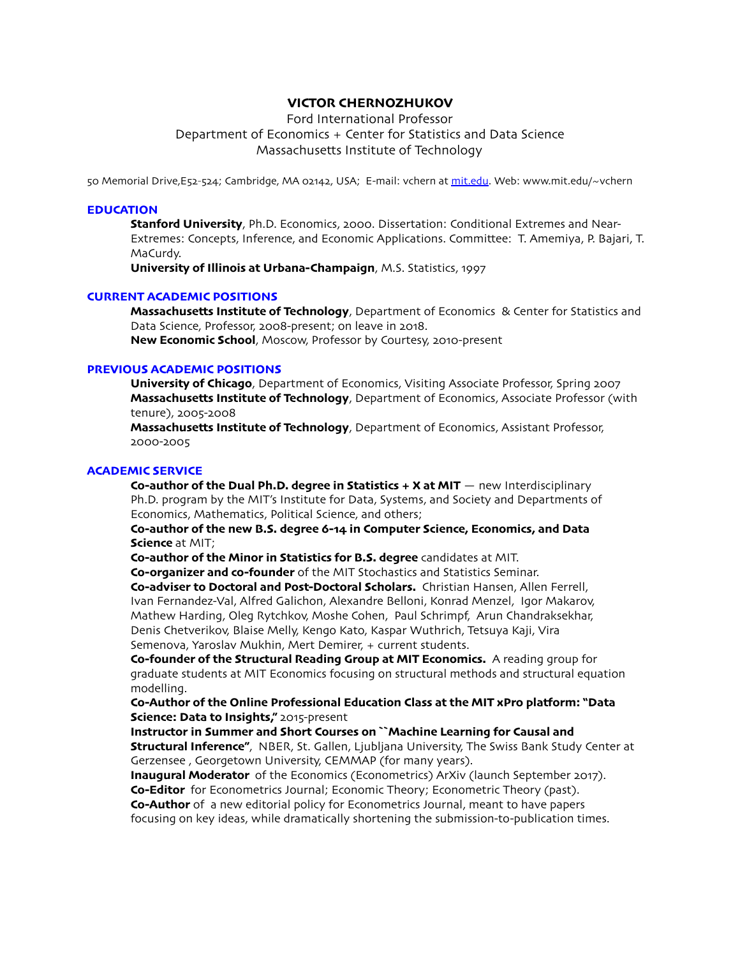# **VICTOR CHERNOZHUKOV**

Ford International Professor Department of Economics + Center for Statistics and Data Science Massachusetts Institute of Technology

50 Memorial Drive,E52-524; Cambridge, MA 02142, USA; E-mail: vchern at mit.[edu](http://mit.edu). Web: www.mit.edu/~vchern

### **EDUCATION**

**Stanford University**, Ph.D. Economics, 2000. Dissertation: Conditional Extremes and Near-Extremes: Concepts, Inference, and Economic Applications. Committee: T. Amemiya, P. Bajari, T. MaCurdy.

**University of Illinois at Urbana-Champaign**, M.S. Statistics, 1997

#### **CURRENT ACADEMIC POSITIONS**

**Massachusetts Institute of Technology**, Department of Economics & Center for Statistics and Data Science, Professor, 2008-present; on leave in 2018. **New Economic School**, Moscow, Professor by Courtesy, 2010-present

# **PREVIOUS ACADEMIC POSITIONS**

**University of Chicago**, Department of Economics, Visiting Associate Professor, Spring 2007 **Massachusetts Institute of Technology**, Department of Economics, Associate Professor (with tenure), 2005-2008

**Massachusetts Institute of Technology**, Department of Economics, Assistant Professor, 2000-2005

# **ACADEMIC SERVICE**

**Co-author of the Dual Ph.D. degree in Statistics + X at MIT** — new Interdisciplinary Ph.D. program by the MIT's Institute for Data, Systems, and Society and Departments of Economics, Mathematics, Political Science, and others;

**Co-author of the new B.S. degree 6-14 in Computer Science, Economics, and Data Science** at MIT;

**Co-author of the Minor in Statistics for B.S. degree** candidates at MIT.

**Co-organizer and co-founder** of the MIT Stochastics and Statistics Seminar.

**Co-adviser to Doctoral and Post-Doctoral Scholars.** Christian Hansen, Allen Ferrell, Ivan Fernandez-Val, Alfred Galichon, Alexandre Belloni, Konrad Menzel, Igor Makarov, Mathew Harding, Oleg Rytchkov, Moshe Cohen, Paul Schrimpf, Arun Chandraksekhar, Denis Chetverikov, Blaise Melly, Kengo Kato, Kaspar Wuthrich, Tetsuya Kaji, Vira Semenova, Yaroslav Mukhin, Mert Demirer, + current students.

**Co-founder of the Structural Reading Group at MIT Economics.** A reading group for graduate students at MIT Economics focusing on structural methods and structural equation modelling.

# **Co-Author of the Online Professional Education Class at the MIT xPro platform: "Data Science: Data to Insights,"** 2015-present

**Instructor in Summer and Short Courses on ``Machine Learning for Causal and Structural Inference"**, NBER, St. Gallen, Ljubljana University, The Swiss Bank Study Center at Gerzensee , Georgetown University, CEMMAP (for many years).

**Inaugural Moderator** of the Economics (Econometrics) ArXiv (launch September 2017). **Co-Editor** for Econometrics Journal; Economic Theory; Econometric Theory (past). **Co-Author** of a new editorial policy for Econometrics Journal, meant to have papers focusing on key ideas, while dramatically shortening the submission-to-publication times.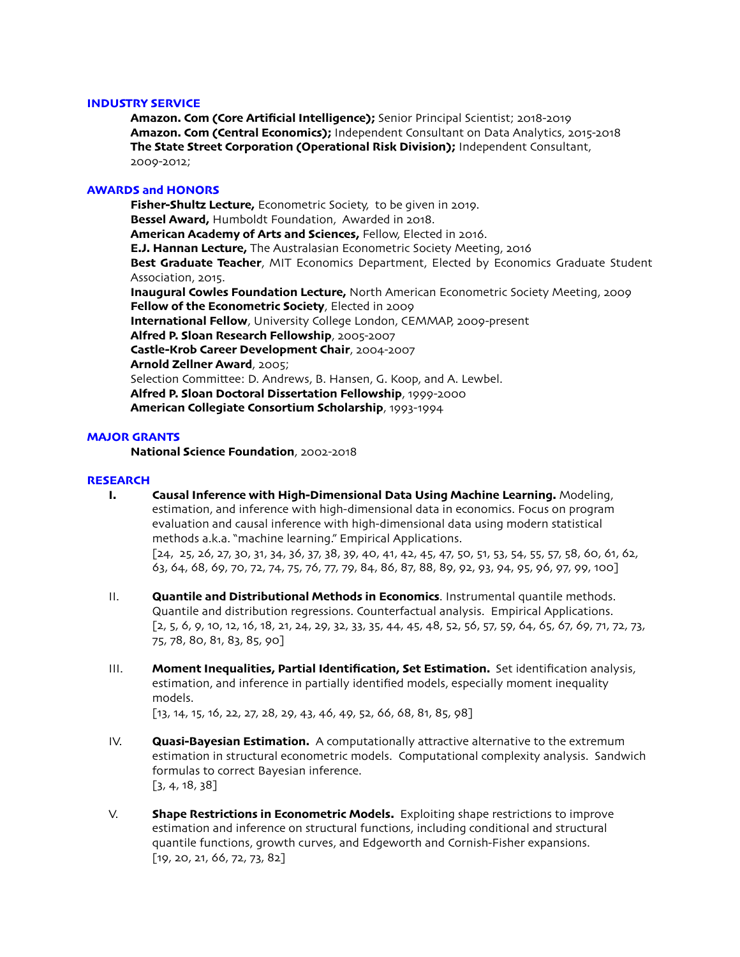# **INDUSTRY SERVICE**

**Amazon. Com (Core Artificial Intelligence);** Senior Principal Scientist; 2018-2019 **Amazon. Com (Central Economics);** Independent Consultant on Data Analytics, 2015-2018 **The State Street Corporation (Operational Risk Division);** Independent Consultant, 2009-2012;

# **AWARDS and HONORS**

**Fisher-Shultz Lecture,** Econometric Society, to be given in 2019. **Bessel Award,** Humboldt Foundation, Awarded in 2018. **American Academy of Arts and Sciences,** Fellow, Elected in 2016. **E.J. Hannan Lecture,** The Australasian Econometric Society Meeting, 2016 **Best Graduate Teacher**, MIT Economics Department, Elected by Economics Graduate Student Association, 2015. **Inaugural Cowles Foundation Lecture,** North American Econometric Society Meeting, 2009 **Fellow of the Econometric Society**, Elected in 2009 **International Fellow**, University College London, CEMMAP, 2009-present **Alfred P. Sloan Research Fellowship**, 2005-2007 **Castle-Krob Career Development Chair**, 2004-2007 **Arnold Zellner Award**, 2005; Selection Committee: D. Andrews, B. Hansen, G. Koop, and A. Lewbel. **Alfred P. Sloan Doctoral Dissertation Fellowship**, 1999-2000 **American Collegiate Consortium Scholarship**, 1993-1994

# **MAJOR GRANTS**

**National Science Foundation**, 2002-2018

### **RESEARCH**

- **I. Causal Inference with High-Dimensional Data Using Machine Learning.** Modeling, estimation, and inference with high-dimensional data in economics. Focus on program evaluation and causal inference with high-dimensional data using modern statistical methods a.k.a. "machine learning." Empirical Applications. [24, 25, 26, 27, 30, 31, 34, 36, 37, 38, 39, 40, 41, 42, 45, 47, 50, 51, 53, 54, 55, 57, 58, 60, 61, 62, 63, 64, 68, 69, 70, 72, 74, 75, 76, 77, 79, 84, 86, 87, 88, 89, 92, 93, 94, 95, 96, 97, 99, 100]
- II. **Quantile and Distributional Methods in Economics**. Instrumental quantile methods. Quantile and distribution regressions. Counterfactual analysis. Empirical Applications. [2, 5, 6, 9, 10, 12, 16, 18, 21, 24, 29, 32, 33, 35, 44, 45, 48, 52, 56, 57, 59, 64, 65, 67, 69, 71, 72, 73, 75, 78, 80, 81, 83, 85, 90]
- III. **Moment Inequalities, Partial Identification, Set Estimation.** Set identification analysis, estimation, and inference in partially identified models, especially moment inequality models.

 $[13, 14, 15, 16, 22, 27, 28, 29, 43, 46, 49, 52, 66, 68, 81, 85, 98]$ 

- IV. **Quasi-Bayesian Estimation.** A computationally attractive alternative to the extremum estimation in structural econometric models. Computational complexity analysis. Sandwich formulas to correct Bayesian inference.  $[3, 4, 18, 38]$
- V. **Shape Restrictions in Econometric Models.** Exploiting shape restrictions to improve estimation and inference on structural functions, including conditional and structural quantile functions, growth curves, and Edgeworth and Cornish-Fisher expansions. [19, 20, 21, 66, 72, 73, 82]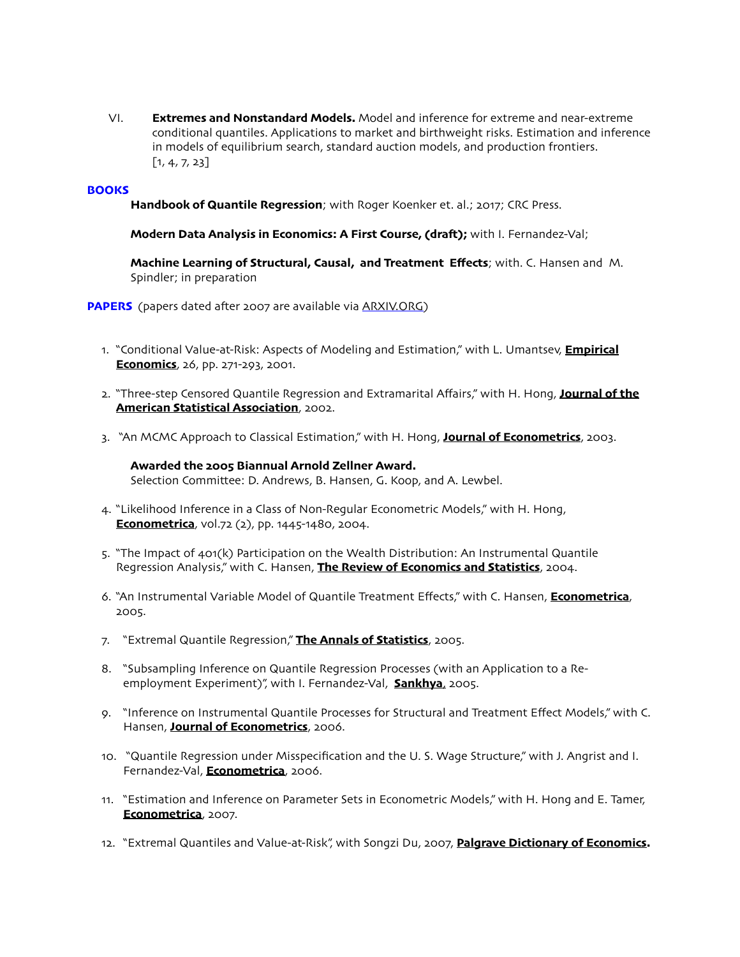VI. **Extremes and Nonstandard Models.** Model and inference for extreme and near-extreme conditional quantiles. Applications to market and birthweight risks. Estimation and inference in models of equilibrium search, standard auction models, and production frontiers.  $[1, 4, 7, 23]$ 

# **BOOKS**

Handbook of Quantile Regression; with Roger Koenker et. al.; 2017; CRC Press.

**Modern Data Analysis in Economics: A First Course, (draf);** with I. Fernandez-Val;

**Machine Learning of Structural, Causal, and Treatment Effects**; with. C. Hansen and M. Spindler; in preparation

**PAPERS** (papers dated after 2007 are available via [ARXIV](http://arxiv.org).ORG)

- 1. "Conditional Value-at-Risk: Aspects of Modeling and Estimation," with L. Umantsev, **Empirical Economics**, 26, pp. 271-293, 2001.
- 2. "Three-step Censored Quantile Regression and Extramarital Affairs," with H. Hong, **Journal of the American Statistical Association**, 2002.
- 3. "An MCMC Approach to Classical Estimation," with H. Hong, **Journal of Econometrics**, 2003.

**Awarded the 2005 Biannual Arnold Zellner Award.** Selection Committee: D. Andrews, B. Hansen, G. Koop, and A. Lewbel.

- 4. "Likelihood Inference in a Class of Non-Regular Econometric Models," with H. Hong, **Econometrica**, vol.72 (2), pp. 1445-1480, 2004.
- 5. "The Impact of 401(k) Participation on the Wealth Distribution: An Instrumental Quantile Regression Analysis," with C. Hansen, **The Review of Economics and Statistics**, 2004.
- 6. "An Instrumental Variable Model of Quantile Treatment Effects," with C. Hansen, **Econometrica**, 2005.
- 7. "Extremal Quantile Regression," **The Annals of Statistics**, 2005.
- 8. "Subsampling Inference on Quantile Regression Processes (with an Application to a Reemployment Experiment)", with I. Fernandez-Val, **Sankhya**, 2005.
- 9. "Inference on Instrumental Quantile Processes for Structural and Treatment Effect Models," with C. Hansen, **Journal of Econometrics**, 2006.
- 10. "Quantile Regression under Misspecification and the U. S. Wage Structure," with J. Angrist and I. Fernandez-Val, **Econometrica**, 2006.
- 11. "Estimation and Inference on Parameter Sets in Econometric Models," with H. Hong and E. Tamer, **Econometrica**, 2007.
- 12. "Extremal Quantiles and Value-at-Risk", with Songzi Du, 2007, **Palgrave Dictionary of Economics.**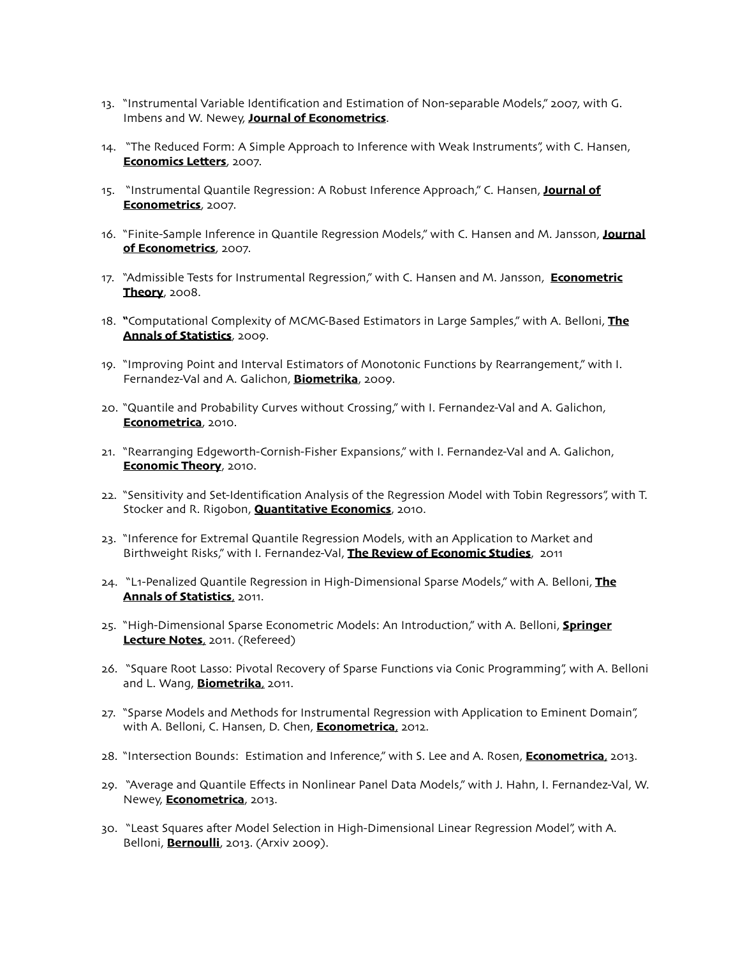- 13. "Instrumental Variable Identification and Estimation of Non-separable Models," 2007, with G. Imbens and W. Newey, **Journal of Econometrics**.
- 14. "The Reduced Form: A Simple Approach to Inference with Weak Instruments", with C. Hansen, **Economics Letters**, 2007.
- 15. "Instrumental Quantile Regression: A Robust Inference Approach," C. Hansen, **Journal of Econometrics**, 2007.
- 16. "Finite-Sample Inference in Quantile Regression Models," with C. Hansen and M. Jansson, **Journal of Econometrics**, 2007.
- 17. "Admissible Tests for Instrumental Regression," with C. Hansen and M. Jansson, **Econometric Theory**, 2008.
- 18. **"**Computational Complexity of MCMC-Based Estimators in Large Samples," with A. Belloni, **The Annals of Statistics**, 2009.
- 19. "Improving Point and Interval Estimators of Monotonic Functions by Rearrangement," with I. Fernandez-Val and A. Galichon, **Biometrika**, 2009.
- 20. "Quantile and Probability Curves without Crossing," with I. Fernandez-Val and A. Galichon, **Econometrica**, 2010.
- 21. "Rearranging Edgeworth-Cornish-Fisher Expansions," with I. Fernandez-Val and A. Galichon, **Economic Theory**, 2010.
- 22. "Sensitivity and Set-Identification Analysis of the Regression Model with Tobin Regressors", with T. Stocker and R. Rigobon, **Quantitative Economics**, 2010.
- 23. "Inference for Extremal Quantile Regression Models, with an Application to Market and Birthweight Risks," with I. Fernandez-Val, **The Review of Economic Studies**, 2011
- 24. "L1-Penalized Quantile Regression in High-Dimensional Sparse Models," with A. Belloni, **The Annals of Statistics**, 2011.
- 25. "High-Dimensional Sparse Econometric Models: An Introduction," with A. Belloni, **Springer Lecture Notes**, 2011. (Refereed)
- 26. "Square Root Lasso: Pivotal Recovery of Sparse Functions via Conic Programming", with A. Belloni and L. Wang, **Biometrika**, 2011.
- 27. "Sparse Models and Methods for Instrumental Regression with Application to Eminent Domain", with A. Belloni, C. Hansen, D. Chen, **Econometrica**, 2012.
- 28. "Intersection Bounds: Estimation and Inference," with S. Lee and A. Rosen, **Econometrica**, 2013.
- 29. "Average and Quantile Effects in Nonlinear Panel Data Models," with J. Hahn, I. Fernandez-Val, W. Newey, **Econometrica**, 2013.
- 30. "Least Squares afer Model Selection in High-Dimensional Linear Regression Model", with A. Belloni, **Bernoulli**, 2013. (Arxiv 2009).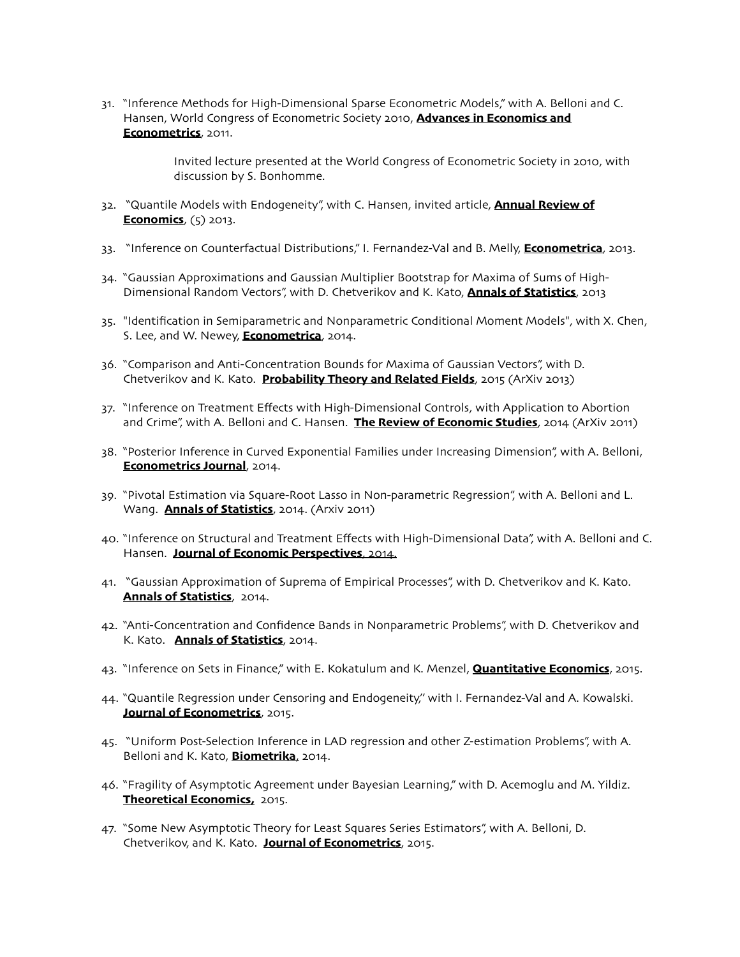31. "Inference Methods for High-Dimensional Sparse Econometric Models," with A. Belloni and C. Hansen, World Congress of Econometric Society 2010, **Advances in Economics and Econometrics**, 2011.

> Invited lecture presented at the World Congress of Econometric Society in 2010, with discussion by S. Bonhomme.

- 32. "Quantile Models with Endogeneity", with C. Hansen, invited article, **Annual Review of Economics**, (5) 2013.
- 33. "Inference on Counterfactual Distributions," I. Fernandez-Val and B. Melly, **Econometrica**, 2013.
- 34. "Gaussian Approximations and Gaussian Multiplier Bootstrap for Maxima of Sums of High-Dimensional Random Vectors", with D. Chetverikov and K. Kato, **Annals of Statistics**, 2013
- 35. "Identification in Semiparametric and Nonparametric Conditional Moment Models", with X. Chen, S. Lee, and W. Newey, **Econometrica**, 2014.
- 36. "Comparison and Anti-Concentration Bounds for Maxima of Gaussian Vectors", with D. Chetverikov and K. Kato. **Probability Theory and Related Fields**, 2015 (ArXiv 2013)
- 37. "Inference on Treatment Effects with High-Dimensional Controls, with Application to Abortion and Crime", with A. Belloni and C. Hansen. **The Review of Economic Studies**, 2014 (ArXiv 2011)
- 38. "Posterior Inference in Curved Exponential Families under Increasing Dimension", with A. Belloni, **Econometrics Journal**, 2014.
- 39. "Pivotal Estimation via Square-Root Lasso in Non-parametric Regression", with A. Belloni and L. Wang. **Annals of Statistics**, 2014. (Arxiv 2011)
- 40. "Inference on Structural and Treatment Effects with High-Dimensional Data", with A. Belloni and C. Hansen. **Journal of Economic Perspectives**, 2014.
- 41. "Gaussian Approximation of Suprema of Empirical Processes", with D. Chetverikov and K. Kato. **Annals of Statistics**, 2014.
- 42. "Anti-Concentration and Confidence Bands in Nonparametric Problems", with D. Chetverikov and K. Kato. **Annals of Statistics**, 2014.
- 43. "Inference on Sets in Finance," with E. Kokatulum and K. Menzel, **Quantitative Economics**, 2015.
- 44. "Quantile Regression under Censoring and Endogeneity,'' with I. Fernandez-Val and A. Kowalski. **Journal of Econometrics**, 2015.
- 45. "Uniform Post-Selection Inference in LAD regression and other Z-estimation Problems", with A. Belloni and K. Kato, **Biometrika**, 2014.
- 46. "Fragility of Asymptotic Agreement under Bayesian Learning," with D. Acemoglu and M. Yildiz. **Theoretical Economics,** 2015.
- 47. "Some New Asymptotic Theory for Least Squares Series Estimators", with A. Belloni, D. Chetverikov, and K. Kato. **Journal of Econometrics**, 2015.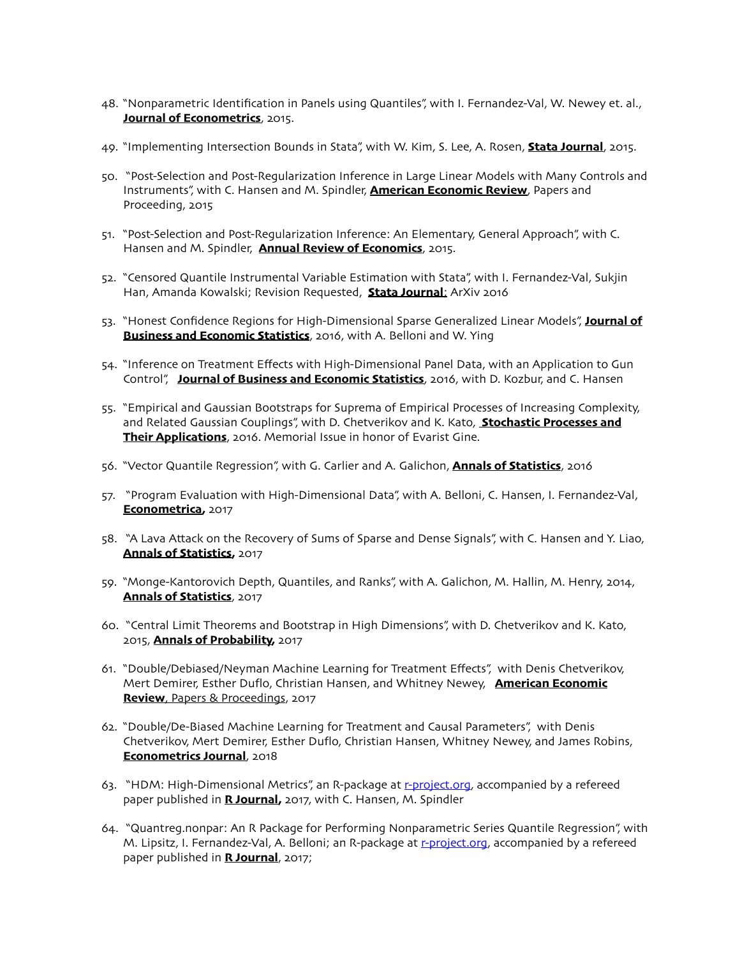- 48. "Nonparametric Identification in Panels using Quantiles", with I. Fernandez-Val, W. Newey et. al., **Journal of Econometrics**, 2015.
- 49. "Implementing Intersection Bounds in Stata", with W. Kim, S. Lee, A. Rosen, **Stata Journal**, 2015.
- 50. "Post-Selection and Post-Regularization Inference in Large Linear Models with Many Controls and Instruments", with C. Hansen and M. Spindler, **American Economic Review**, Papers and Proceeding, 2015
- 51. "Post-Selection and Post-Regularization Inference: An Elementary, General Approach", with C. Hansen and M. Spindler, **Annual Review of Economics**, 2015.
- 52. "Censored Quantile Instrumental Variable Estimation with Stata", with I. Fernandez-Val, Sukjin Han, Amanda Kowalski; Revision Requested, **Stata Journal**; ArXiv 2016
- 53. "Honest Confidence Regions for High-Dimensional Sparse Generalized Linear Models", **Journal of Business and Economic Statistics**, 2016, with A. Belloni and W. Ying
- 54. "Inference on Treatment Effects with High-Dimensional Panel Data, with an Application to Gun Control", **Journal of Business and Economic Statistics**, 2016, with D. Kozbur, and C. Hansen
- 55. "Empirical and Gaussian Bootstraps for Suprema of Empirical Processes of Increasing Complexity, and Related Gaussian Couplings", with D. Chetverikov and K. Kato, **Stochastic Processes and Their Applications**, 2016. Memorial Issue in honor of Evarist Gine.
- 56. "Vector Quantile Regression", with G. Carlier and A. Galichon, **Annals of Statistics**, 2016
- 57. "Program Evaluation with High-Dimensional Data", with A. Belloni, C. Hansen, I. Fernandez-Val, **Econometrica,** 2017
- 58. "A Lava Attack on the Recovery of Sums of Sparse and Dense Signals", with C. Hansen and Y. Liao, **Annals of Statistics,** 2017
- 59. "Monge-Kantorovich Depth, Quantiles, and Ranks", with A. Galichon, M. Hallin, M. Henry, 2014, **Annals of Statistics**, 2017
- 60. "Central Limit Theorems and Bootstrap in High Dimensions", with D. Chetverikov and K. Kato, 2015, **Annals of Probability,** 2017
- 61. "Double/Debiased/Neyman Machine Learning for Treatment Effects", with Denis Chetverikov, Mert Demirer, Esther Duflo, Christian Hansen, and Whitney Newey, **American Economic Review**, Papers & Proceedings, 2017
- 62. "Double/De-Biased Machine Learning for Treatment and Causal Parameters", with Denis Chetverikov, Mert Demirer, Esther Duflo, Christian Hansen, Whitney Newey, and James Robins, **Econometrics Journal**, 2018
- 63. "HDM: High-Dimensional Metrics", an R-package at r-[project](http://r-project.org).org, accompanied by a refereed paper published in **R Journal,** 2017, with C. Hansen, M. Spindler
- 64. "Quantreg.nonpar: An R Package for Performing Nonparametric Series Quantile Regression", with M. Lipsitz, I. Fernandez-Val, A. Belloni; an R-package at *r-[project](http://r-project.org).org*, accompanied by a refereed paper published in **R Journal**, 2017;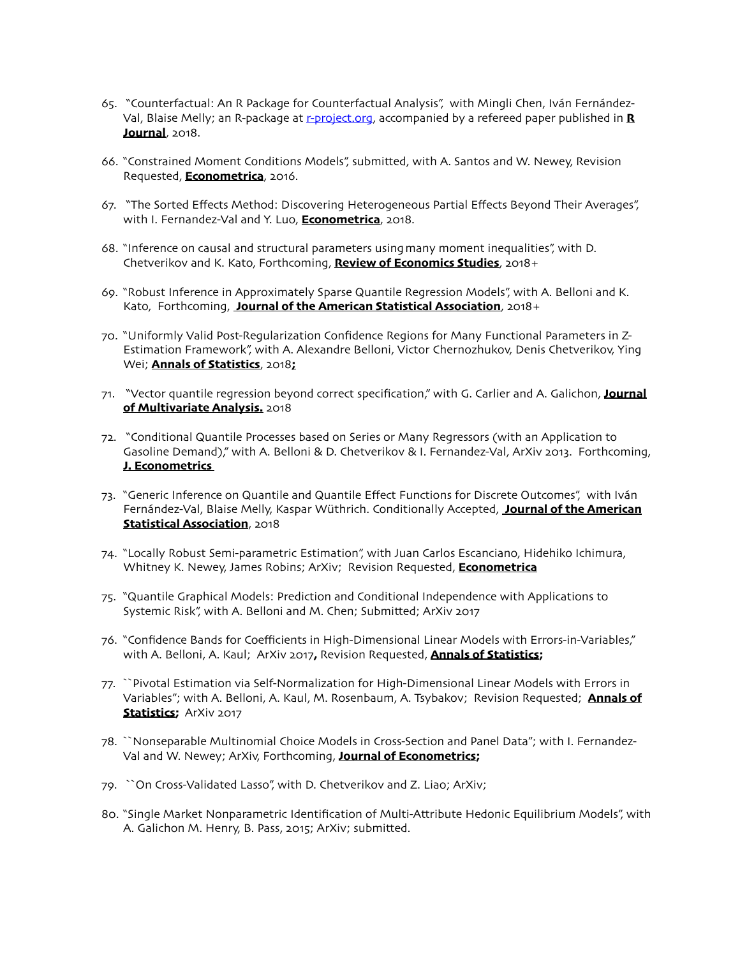- 65. "Counterfactual: An R Package for Counterfactual Analysis", with Mingli Chen, Iván FernándezVal, Blaise Melly; an R-package at r-[project](http://r-project.org).org, accompanied by a refereed paper published in **R Journal**, 2018.
- 66. "Constrained Moment Conditions Models", submitted, with A. Santos and W. Newey, Revision Requested, **Econometrica**, 2016.
- 67. "The Sorted Effects Method: Discovering Heterogeneous Partial Effects Beyond Their Averages", with I. Fernandez-Val and Y. Luo, **Econometrica**, 2018.
- 68. "Inference on causal and structural parameters usingmany moment inequalities", with D. Chetverikov and K. Kato, Forthcoming, **Review of Economics Studies**, 2018+
- 69. "Robust Inference in Approximately Sparse Quantile Regression Models", with A. Belloni and K. Kato, Forthcoming, **Journal of the American Statistical Association**, 2018+
- 70. "Uniformly Valid Post-Regularization Confidence Regions for Many Functional Parameters in Z-Estimation Framework", with A. Alexandre Belloni, Victor Chernozhukov, Denis Chetverikov, Ying Wei; **Annals of Statistics**, 2018**;**
- 71. "Vector quantile regression beyond correct specification," with G. Carlier and A. Galichon, **Journal of Multivariate Analysis.** 2018
- 72. "Conditional Quantile Processes based on Series or Many Regressors (with an Application to Gasoline Demand)," with A. Belloni & D. Chetverikov & I. Fernandez-Val, ArXiv 2013. Forthcoming, **J. Econometrics**
- 73. "Generic Inference on Quantile and Quantile Effect Functions for Discrete Outcomes", with Iván Fernández-Val, Blaise Melly, Kaspar Wüthrich. Conditionally Accepted, **Journal of the American Statistical Association**, 2018
- 74. "Locally Robust Semi-parametric Estimation", with Juan Carlos Escanciano, Hidehiko Ichimura, Whitney K. Newey, James Robins; ArXiv; Revision Requested, **Econometrica**
- 75. "Quantile Graphical Models: Prediction and Conditional Independence with Applications to Systemic Risk", with A. Belloni and M. Chen; Submitted; ArXiv 2017
- 76. "Confidence Bands for Coefficients in High-Dimensional Linear Models with Errors-in-Variables," with A. Belloni, A. Kaul; ArXiv 2017**,** Revision Requested, **Annals of Statistics;**
- 77. ``Pivotal Estimation via Self-Normalization for High-Dimensional Linear Models with Errors in Variables"; with A. Belloni, A. Kaul, M. Rosenbaum, A. Tsybakov; Revision Requested; **Annals of Statistics;** ArXiv 2017
- 78. ``Nonseparable Multinomial Choice Models in Cross-Section and Panel Data"; with I. Fernandez-Val and W. Newey; ArXiv, Forthcoming, **Journal of Econometrics;**
- 79. ``On Cross-Validated Lasso", with D. Chetverikov and Z. Liao; ArXiv;
- 80. "Single Market Nonparametric Identification of Multi-Attribute Hedonic Equilibrium Models", with A. Galichon M. Henry, B. Pass, 2015; ArXiv; submitted.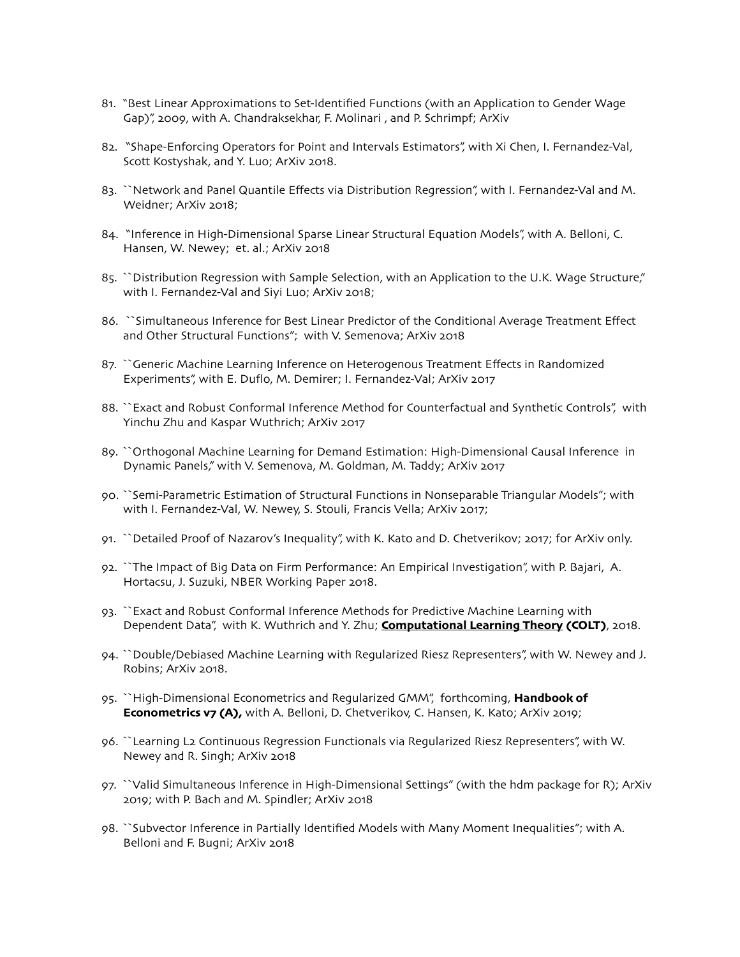- 81. "Best Linear Approximations to Set-Identified Functions (with an Application to Gender Wage Gap)", 2009, with A. Chandraksekhar, F. Molinari , and P. Schrimpf; ArXiv
- 82. "Shape-Enforcing Operators for Point and Intervals Estimators", with Xi Chen, I. Fernandez-Val, Scott Kostyshak, and Y. Luo; ArXiv 2018.
- 83. ``Network and Panel Quantile Effects via Distribution Regression", with I. Fernandez-Val and M. Weidner; ArXiv 2018;
- 84. "Inference in High-Dimensional Sparse Linear Structural Equation Models", with A. Belloni, C. Hansen, W. Newey; et. al.; ArXiv 2018
- 85. ``Distribution Regression with Sample Selection, with an Application to the U.K. Wage Structure," with I. Fernandez-Val and Siyi Luo; ArXiv 2018;
- 86. ``Simultaneous Inference for Best Linear Predictor of the Conditional Average Treatment Effect and Other Structural Functions"; with V. Semenova; ArXiv 2018
- 87. ``Generic Machine Learning Inference on Heterogenous Treatment Effects in Randomized Experiments", with E. Duflo, M. Demirer; I. Fernandez-Val; ArXiv 2017
- 88. ``Exact and Robust Conformal Inference Method for Counterfactual and Synthetic Controls", with Yinchu Zhu and Kaspar Wuthrich; ArXiv 2017
- 89. ``Orthogonal Machine Learning for Demand Estimation: High-Dimensional Causal Inference in Dynamic Panels," with V. Semenova, M. Goldman, M. Taddy; ArXiv 2017
- 90. ``Semi-Parametric Estimation of Structural Functions in Nonseparable Triangular Models"; with with I. Fernandez-Val, W. Newey, S. Stouli, Francis Vella; ArXiv 2017;
- 91. ``Detailed Proof of Nazarov's Inequality", with K. Kato and D. Chetverikov; 2017; for ArXiv only.
- 92. ``The Impact of Big Data on Firm Performance: An Empirical Investigation", with P. Bajari, A. Hortacsu, J. Suzuki, NBER Working Paper 2018.
- 93. ``Exact and Robust Conformal Inference Methods for Predictive Machine Learning with Dependent Data", with K. Wuthrich and Y. Zhu; **Computational Learning Theory (COLT)**, 2018.
- 94. ``Double/Debiased Machine Learning with Regularized Riesz Representers", with W. Newey and J. Robins; ArXiv 2018.
- 95. ``High-Dimensional Econometrics and Regularized GMM", forthcoming, **Handbook of Econometrics v7 (A),** with A. Belloni, D. Chetverikov, C. Hansen, K. Kato; ArXiv 2019;
- 96. ``Learning L2 Continuous Regression Functionals via Regularized Riesz Representers", with W. Newey and R. Singh; ArXiv 2018
- 97. ``Valid Simultaneous Inference in High-Dimensional Settings" (with the hdm package for R); ArXiv 2019; with P. Bach and M. Spindler; ArXiv 2018
- 98. ``Subvector Inference in Partially Identified Models with Many Moment Inequalities"; with A. Belloni and F. Bugni; ArXiv 2018